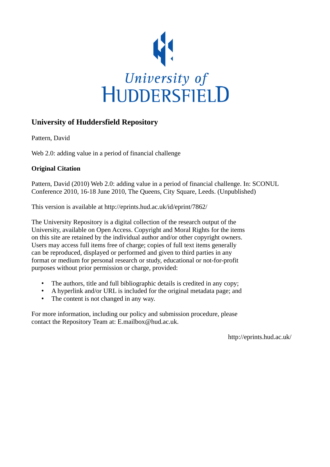

# **University of Huddersfield Repository**

Pattern, David

Web 2.0: adding value in a period of financial challenge

# **Original Citation**

Pattern, David (2010) Web 2.0: adding value in a period of financial challenge. In: SCONUL Conference 2010, 16-18 June 2010, The Queens, City Square, Leeds. (Unpublished)

This version is available at http://eprints.hud.ac.uk/id/eprint/7862/

The University Repository is a digital collection of the research output of the University, available on Open Access. Copyright and Moral Rights for the items on this site are retained by the individual author and/or other copyright owners. Users may access full items free of charge; copies of full text items generally can be reproduced, displayed or performed and given to third parties in any format or medium for personal research or study, educational or not-for-profit purposes without prior permission or charge, provided:

- The authors, title and full bibliographic details is credited in any copy;
- A hyperlink and/or URL is included for the original metadata page; and
- The content is not changed in any way.

For more information, including our policy and submission procedure, please contact the Repository Team at: E.mailbox@hud.ac.uk.

http://eprints.hud.ac.uk/